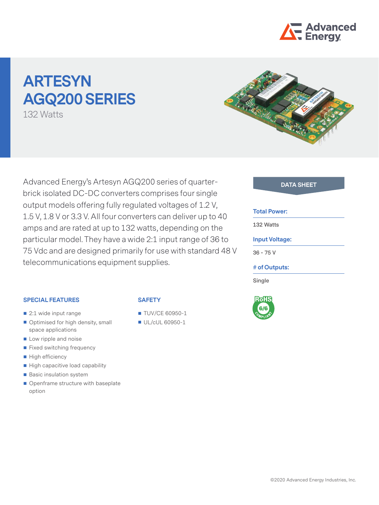

# **ARTESYN AGQ200 SERIES**

132 Watts



Advanced Energy's Artesyn AGQ200 series of quarter- **DATA SHEET** brick isolated DC-DC converters comprises four single output models offering fully regulated voltages of 1.2 V, 1.5 V, 1.8 V or 3.3 V. All four converters can deliver up to 40 amps and are rated at up to 132 watts, depending on the particular model. They have a wide 2:1 input range of 36 to 75 Vdc and are designed primarily for use with standard 48 V telecommunications equipment supplies.

#### **Total Power:**

**132 Watts**

### **Input Voltage:**

**36 - 75 V**

#### **# of Outputs:**

**Single**



#### **SPECIAL FEATURES**

- 2:1 wide input range
- Optimised for high density, small space applications
- Low ripple and noise
- **Fixed switching frequency**
- High efficiency
- High capacitive load capability
- Basic insulation system
- Openframe structure with baseplate option

#### **SAFETY**

- **TUV/CE 60950-1**
- UL/cUL 60950-1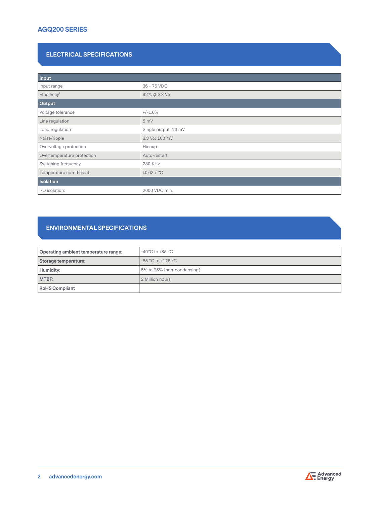# **AGQ200 SERIES**

# **ELECTRICAL SPECIFICATIONS**

| Input                      |                      |  |  |
|----------------------------|----------------------|--|--|
| Input range                | 36 - 75 VDC          |  |  |
| Efficiency <sup>2</sup>    | 92% @ 3.3 Vo         |  |  |
| Output                     |                      |  |  |
| Voltage tolerance          | $+/-1.6%$            |  |  |
| Line regulation            | 5 mV                 |  |  |
| Load regulation            | Single output: 10 mV |  |  |
| Noise/ripple               | 3.3 Vo: 100 mV       |  |  |
| Overvoltage protection     | Hiccup               |  |  |
| Overtemperature protection | Auto-restart         |  |  |
| Switching frequency        | 280 KHz              |  |  |
| Temperature co-efficient   | $\pm 0.02$ / °C      |  |  |
| Isolation                  |                      |  |  |
| I/O isolation:             | 2000 VDC min.        |  |  |

# **ENVIRONMENTAL SPECIFICATIONS**

| Operating ambient temperature range: | $-40^{\circ}$ C to $+85^{\circ}$ C    |  |
|--------------------------------------|---------------------------------------|--|
| Storage temperature:                 | $-55 \text{ °C}$ to $+125 \text{ °C}$ |  |
| Humidity:                            | 5% to 95% (non-condensing)            |  |
| MTBF:                                | 2 Million hours                       |  |
| <b>RoHS Compliant</b>                |                                       |  |

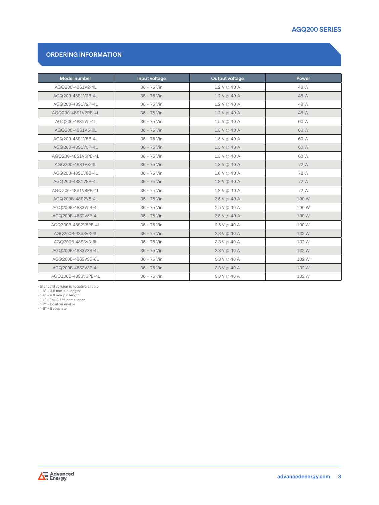## **Ordering Information**

| Model number        | Input voltage | Output voltage          | <b>Power</b> |
|---------------------|---------------|-------------------------|--------------|
| AGQ200-48S1V2-4L    | 36 - 75 Vin   | 1.2 V @ 40 A            | 48 W         |
| AGQ200-48S1V2B-4L   | 36 - 75 Vin   | 1.2 V @ 40 A            | 48 W         |
| AGQ200-48S1V2P-4L   | 36 - 75 Vin   | 1.2 V @ 40 A            | 48 W         |
| AGQ200-48S1V2PB-4L  | 36 - 75 Vin   | 1.2 V @ 40 A            | 48 W         |
| AGQ200-48S1V5-4L    | 36 - 75 Vin   | 1.5 V @ 40 A            | 60 W         |
| AGQ200-48S1V5-6L    | 36 - 75 Vin   | $1.5$ V @ 40 A          | 60 W         |
| AGQ200-48S1V5B-4L   | 36 - 75 Vin   | 1.5 V @ 40 A            | 60 W         |
| AGQ200-48S1V5P-4L   | 36 - 75 Vin   | 1.5 V @ 40 A            | 60 W         |
| AGQ200-48S1V5PB-4L  | 36 - 75 Vin   | 1.5 V @ 40 A            | 60 W         |
| AGQ200-48S1V8-4L    | 36 - 75 Vin   | 1.8 V @ 40 A            | 72 W         |
| AGQ200-48S1V8B-4L   | 36 - 75 Vin   | 1.8 V @ 40 A            | 72 W         |
| AGQ200-48S1V8P-4L   | 36 - 75 Vin   |                         | 72 W         |
|                     |               | 1.8 V @ 40 A            |              |
| AGQ200-48S1V8PB-4L  | 36 - 75 Vin   | 1.8 V @ 40 A            | 72 W         |
| AGQ200B-48S2V5-4L   | 36 - 75 Vin   | 2.5 V @ 40 A            | 100 W        |
| AGQ200B-48S2V5B-4L  | 36 - 75 Vin   | 2.5 V @ 40 A            | 100 W        |
| AGQ200B-48S2V5P-4L  | 36 - 75 Vin   | 2.5 V @ 40 A            | 100W         |
| AGQ200B-48S2V5PB-4L | 36 - 75 Vin   | 2.5 V @ 40 A            | 100W         |
| AGQ200B-48S3V3-4L   | 36 - 75 Vin   | $3.3 V \text{ @ } 40 A$ | 132W         |
| AGQ200B-48S3V3-6L   | 36 - 75 Vin   | 3.3 V @ 40 A            | 132 W        |
| AGQ200B-48S3V3B-4L  | 36 - 75 Vin   | $3.3 V \text{ @ } 40 A$ | 132W         |
| AGQ200B-48S3V3B-6L  | 36 - 75 Vin   | 3.3 V @ 40 A            | 132W         |
| AGQ200B-48S3V3P-4L  | 36 - 75 Vin   | $3.3 V \text{ @ } 40 A$ | 132W         |
| AGQ200B-48S3V3PB-4L | 36 - 75 Vin   | 3.3 V @ 40 A            | 132W         |

- Standard version is negative enable<br>
- "-6" = 3.8 mm pin length<br>
- "-4" = 4.8 mm pin length<br>
- "-L" = RoHS 6/6 compliance<br>
- "-P" = Positive enable<br>
- "-B" = Baseplate

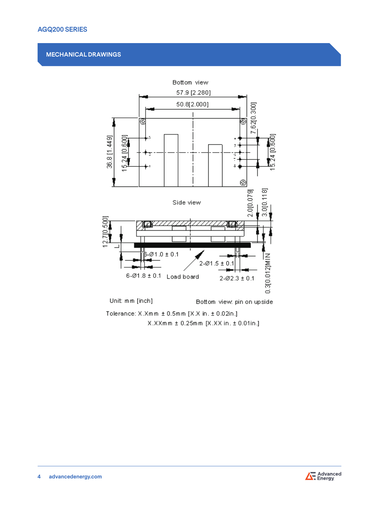# **Mechanical Drawings**



Tolerance: X.Xmm ± 0.5mm [X.X in. ± 0.02in.] X.XXmm ± 0.25mm [X.XX in. ± 0.01in.]

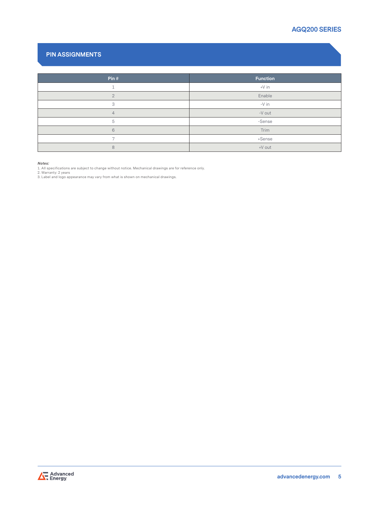# **AGQ200 SERIES**

## **Pin Assignments**

| Pin#                     | <b>Function</b> |
|--------------------------|-----------------|
| $\overline{\phantom{a}}$ | $+V$ in         |
| $\mathfrak{D}$           | Enable          |
| 3                        | -V in           |
| $\overline{4}$           | -V out          |
| 5                        | -Sense          |
| 6                        | Trim            |
| $\overline{\phantom{1}}$ | +Sense          |
| 8                        | +V out          |

**Notes:**<br>1. All specifications are subject to change without notice. Mechanical drawings are for reference only.<br>2. Warranty: 2 years<br>3. Label and logo appearance may vary from what is shown on mechanical drawings.